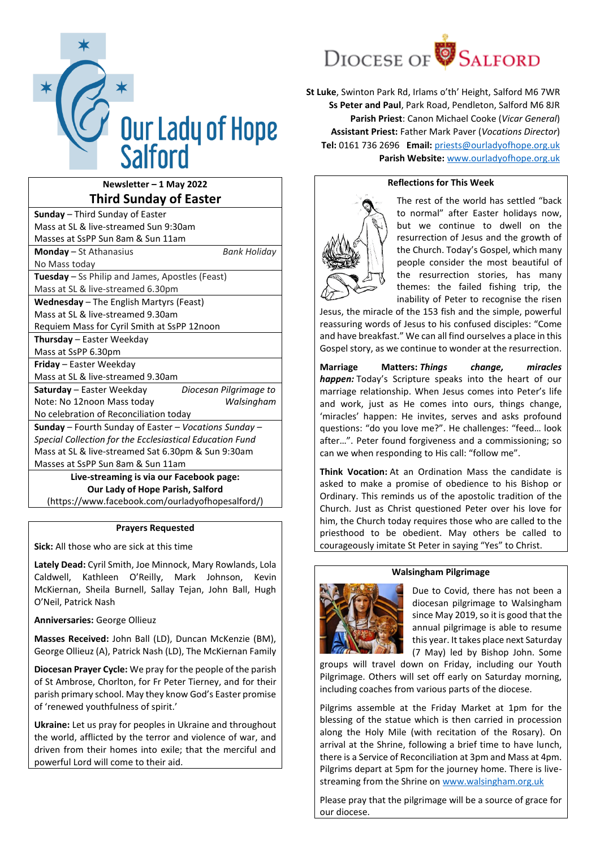

# **Newsletter – 1 May 2022 Third Sunday of Easter**

(https://www.facebook.com/ourladyofhopesalford/)

# **Prayers Requested**

**Sick:** All those who are sick at this time

**Lately Dead:** Cyril Smith, Joe Minnock, Mary Rowlands, Lola Caldwell, Kathleen O'Reilly, Mark Johnson, Kevin McKiernan, Sheila Burnell, Sallay Tejan, John Ball, Hugh O'Neil, Patrick Nash

**Anniversaries:** George Ollieuz

**Masses Received:** John Ball (LD), Duncan McKenzie (BM), George Ollieuz (A), Patrick Nash (LD), The McKiernan Family

**Diocesan Prayer Cycle:** We pray for the people of the parish of St Ambrose, Chorlton, for Fr Peter Tierney, and for their parish primary school. May they know God's Easter promise of 'renewed youthfulness of spirit.'

**Ukraine:** Let us pray for peoples in Ukraine and throughout the world, afflicted by the terror and violence of war, and driven from their homes into exile; that the merciful and powerful Lord will come to their aid.



**St Luke**, Swinton Park Rd, Irlams o'th' Height, Salford M6 7WR **Ss Peter and Paul**, Park Road, Pendleton, Salford M6 8JR **Parish Priest**: Canon Michael Cooke (*Vicar General*) **Assistant Priest:** Father Mark Paver (*Vocations Director*) **Tel:** 0161 736 2696 **Email:** [priests@ourladyofhope.org.uk](mailto:priests@ourladyofhope.org.uk) **Parish Website:** [www.ourladyofhope.org.uk](http://www.ourladyofhope.org.uk/)

# **Reflections for This Week**



The rest of the world has settled "back to normal" after Easter holidays now, but we continue to dwell on the resurrection of Jesus and the growth of the Church. Today's Gospel, which many people consider the most beautiful of the resurrection stories, has many themes: the failed fishing trip, the inability of Peter to recognise the risen

Jesus, the miracle of the 153 fish and the simple, powerful reassuring words of Jesus to his confused disciples: "Come and have breakfast." We can all find ourselves a place in this Gospel story, as we continue to wonder at the resurrection.

**Marriage Matters:** *Things change, miracles happen:* Today's Scripture speaks into the heart of our marriage relationship. When Jesus comes into Peter's life and work, just as He comes into ours, things change, 'miracles' happen: He invites, serves and asks profound questions: "do you love me?". He challenges: "feed… look after…". Peter found forgiveness and a commissioning; so can we when responding to His call: "follow me".

**Think Vocation:** At an Ordination Mass the candidate is asked to make a promise of obedience to his Bishop or Ordinary. This reminds us of the apostolic tradition of the Church. Just as Christ questioned Peter over his love for him, the Church today requires those who are called to the priesthood to be obedient. May others be called to courageously imitate St Peter in saying "Yes" to Christ.



**Walsingham Pilgrimage**

Due to Covid, there has not been a diocesan pilgrimage to Walsingham since May 2019, so it is good that the annual pilgrimage is able to resume this year. It takes place next Saturday (7 May) led by Bishop John. Some

groups will travel down on Friday, including our Youth Pilgrimage. Others will set off early on Saturday morning, including coaches from various parts of the diocese.

Pilgrims assemble at the Friday Market at 1pm for the blessing of the statue which is then carried in procession along the Holy Mile (with recitation of the Rosary). On arrival at the Shrine, following a brief time to have lunch, there is a Service of Reconciliation at 3pm and Mass at 4pm. Pilgrims depart at 5pm for the journey home. There is livestreaming from the Shrine on [www.walsingham.org.uk](http://www.walsingham.org.uk/)

Please pray that the pilgrimage will be a source of grace for our diocese.